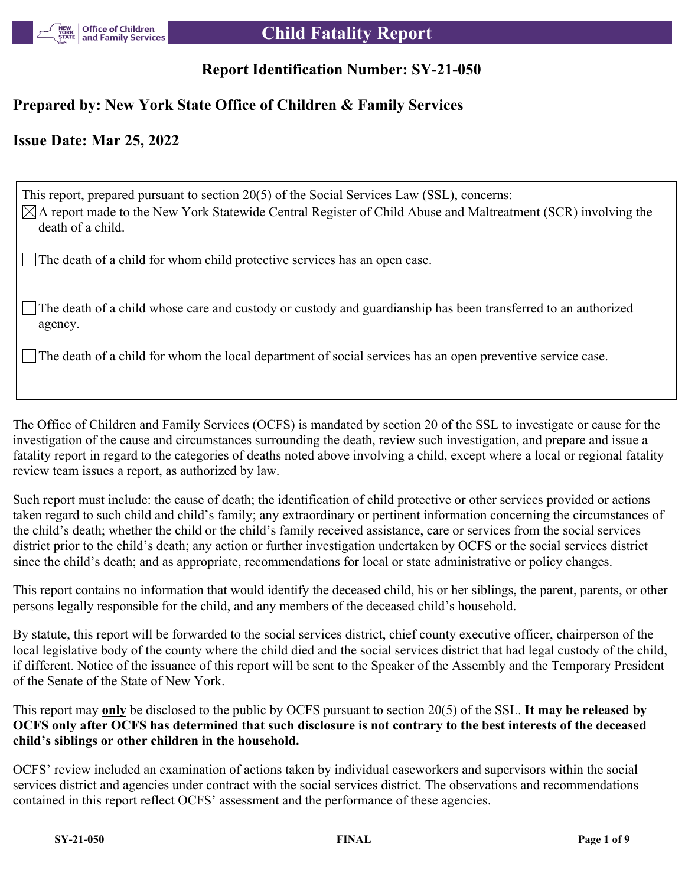

# **Child Fatality Report**

## **Report Identification Number: SY-21-050**

## **Prepared by: New York State Office of Children & Family Services**

## **Issue Date: Mar 25, 2022**

This report, prepared pursuant to section 20(5) of the Social Services Law (SSL), concerns:  $\boxtimes$ A report made to the New York Statewide Central Register of Child Abuse and Maltreatment (SCR) involving the death of a child.

The death of a child for whom child protective services has an open case.

The death of a child whose care and custody or custody and guardianship has been transferred to an authorized agency.

The death of a child for whom the local department of social services has an open preventive service case.

The Office of Children and Family Services (OCFS) is mandated by section 20 of the SSL to investigate or cause for the investigation of the cause and circumstances surrounding the death, review such investigation, and prepare and issue a fatality report in regard to the categories of deaths noted above involving a child, except where a local or regional fatality review team issues a report, as authorized by law.

Such report must include: the cause of death; the identification of child protective or other services provided or actions taken regard to such child and child's family; any extraordinary or pertinent information concerning the circumstances of the child's death; whether the child or the child's family received assistance, care or services from the social services district prior to the child's death; any action or further investigation undertaken by OCFS or the social services district since the child's death; and as appropriate, recommendations for local or state administrative or policy changes.

This report contains no information that would identify the deceased child, his or her siblings, the parent, parents, or other persons legally responsible for the child, and any members of the deceased child's household.

By statute, this report will be forwarded to the social services district, chief county executive officer, chairperson of the local legislative body of the county where the child died and the social services district that had legal custody of the child, if different. Notice of the issuance of this report will be sent to the Speaker of the Assembly and the Temporary President of the Senate of the State of New York.

This report may **only** be disclosed to the public by OCFS pursuant to section 20(5) of the SSL. **It may be released by OCFS only after OCFS has determined that such disclosure is not contrary to the best interests of the deceased child's siblings or other children in the household.**

OCFS' review included an examination of actions taken by individual caseworkers and supervisors within the social services district and agencies under contract with the social services district. The observations and recommendations contained in this report reflect OCFS' assessment and the performance of these agencies.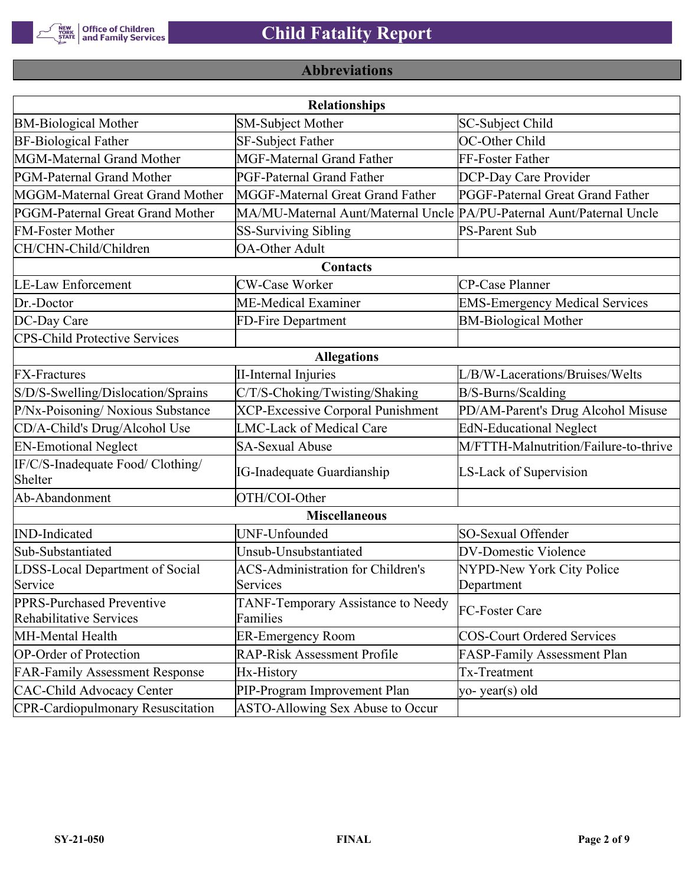

# **Abbreviations**

| <b>Relationships</b>                                        |                                                                       |                                       |  |  |  |  |
|-------------------------------------------------------------|-----------------------------------------------------------------------|---------------------------------------|--|--|--|--|
| <b>BM-Biological Mother</b>                                 | SM-Subject Mother                                                     | SC-Subject Child                      |  |  |  |  |
| <b>BF-Biological Father</b>                                 | <b>SF-Subject Father</b>                                              | OC-Other Child                        |  |  |  |  |
| MGM-Maternal Grand Mother                                   | <b>MGF-Maternal Grand Father</b>                                      | FF-Foster Father                      |  |  |  |  |
| PGM-Paternal Grand Mother                                   | PGF-Paternal Grand Father                                             | DCP-Day Care Provider                 |  |  |  |  |
| MGGM-Maternal Great Grand Mother                            | MGGF-Maternal Great Grand Father                                      | PGGF-Paternal Great Grand Father      |  |  |  |  |
| PGGM-Paternal Great Grand Mother                            | MA/MU-Maternal Aunt/Maternal Uncle PA/PU-Paternal Aunt/Paternal Uncle |                                       |  |  |  |  |
| <b>FM-Foster Mother</b>                                     | <b>SS-Surviving Sibling</b>                                           | <b>PS-Parent Sub</b>                  |  |  |  |  |
| CH/CHN-Child/Children                                       | <b>OA-Other Adult</b>                                                 |                                       |  |  |  |  |
|                                                             | Contacts                                                              |                                       |  |  |  |  |
| <b>LE-Law Enforcement</b>                                   | <b>CW-Case Worker</b>                                                 | CP-Case Planner                       |  |  |  |  |
| Dr.-Doctor                                                  | ME-Medical Examiner                                                   | <b>EMS-Emergency Medical Services</b> |  |  |  |  |
| DC-Day Care                                                 | FD-Fire Department                                                    | <b>BM-Biological Mother</b>           |  |  |  |  |
| <b>CPS-Child Protective Services</b>                        |                                                                       |                                       |  |  |  |  |
|                                                             | <b>Allegations</b>                                                    |                                       |  |  |  |  |
| <b>FX-Fractures</b>                                         | <b>II-Internal Injuries</b>                                           | L/B/W-Lacerations/Bruises/Welts       |  |  |  |  |
| S/D/S-Swelling/Dislocation/Sprains                          | C/T/S-Choking/Twisting/Shaking                                        | B/S-Burns/Scalding                    |  |  |  |  |
| P/Nx-Poisoning/ Noxious Substance                           | <b>XCP-Excessive Corporal Punishment</b>                              | PD/AM-Parent's Drug Alcohol Misuse    |  |  |  |  |
| CD/A-Child's Drug/Alcohol Use                               | <b>LMC-Lack of Medical Care</b>                                       | <b>EdN-Educational Neglect</b>        |  |  |  |  |
| <b>EN-Emotional Neglect</b>                                 | <b>SA-Sexual Abuse</b>                                                | M/FTTH-Malnutrition/Failure-to-thrive |  |  |  |  |
| IF/C/S-Inadequate Food/ Clothing/<br>Shelter                | <b>IG-Inadequate Guardianship</b>                                     | LS-Lack of Supervision                |  |  |  |  |
| Ab-Abandonment                                              | OTH/COI-Other                                                         |                                       |  |  |  |  |
|                                                             | <b>Miscellaneous</b>                                                  |                                       |  |  |  |  |
| <b>IND-Indicated</b>                                        | UNF-Unfounded                                                         | SO-Sexual Offender                    |  |  |  |  |
| Sub-Substantiated                                           | Unsub-Unsubstantiated                                                 | <b>DV-Domestic Violence</b>           |  |  |  |  |
| LDSS-Local Department of Social                             | <b>ACS-Administration for Children's</b>                              | NYPD-New York City Police             |  |  |  |  |
| Service                                                     | Services                                                              | Department                            |  |  |  |  |
| PPRS-Purchased Preventive<br><b>Rehabilitative Services</b> | TANF-Temporary Assistance to Needy<br>Families                        | FC-Foster Care                        |  |  |  |  |
| MH-Mental Health                                            | <b>ER-Emergency Room</b>                                              | <b>COS-Court Ordered Services</b>     |  |  |  |  |
| <b>OP-Order of Protection</b>                               | <b>RAP-Risk Assessment Profile</b>                                    | FASP-Family Assessment Plan           |  |  |  |  |
| <b>FAR-Family Assessment Response</b>                       | Hx-History                                                            | Tx-Treatment                          |  |  |  |  |
| <b>CAC-Child Advocacy Center</b>                            | PIP-Program Improvement Plan                                          | yo-year(s) old                        |  |  |  |  |
| <b>CPR-Cardiopulmonary Resuscitation</b>                    | ASTO-Allowing Sex Abuse to Occur                                      |                                       |  |  |  |  |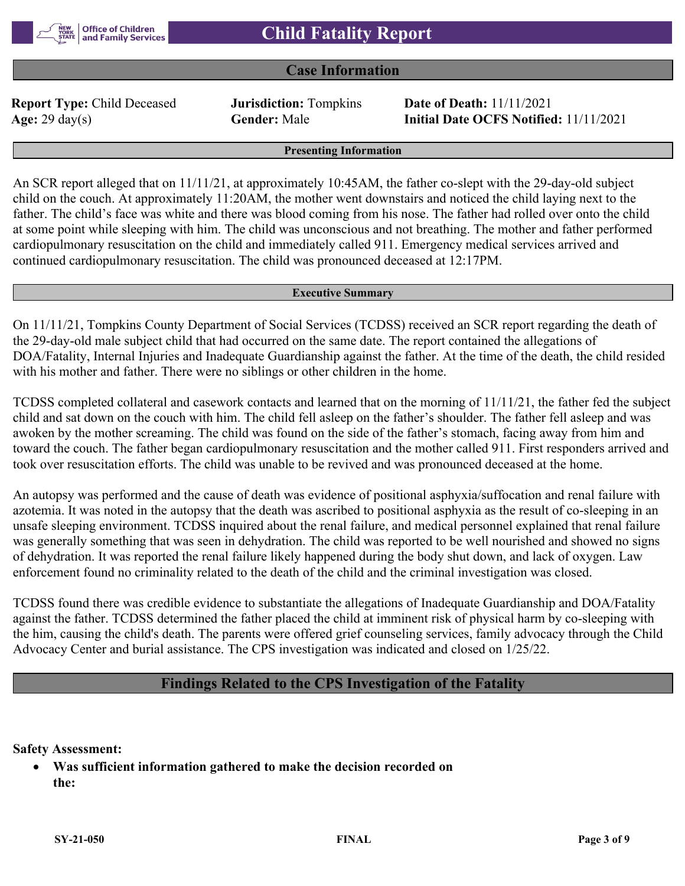## **Case Information**

**Report Type:** Child Deceased **Jurisdiction:** Tompkins **Date of Death:** 11/11/2021

**Age:** 29 day(s) **Gender:** Male **Initial Date OCFS Notified:** 11/11/2021

#### **Presenting Information**

An SCR report alleged that on  $11/11/21$ , at approximately 10:45AM, the father co-slept with the 29-day-old subject child on the couch. At approximately 11:20AM, the mother went downstairs and noticed the child laying next to the father. The child's face was white and there was blood coming from his nose. The father had rolled over onto the child at some point while sleeping with him. The child was unconscious and not breathing. The mother and father performed cardiopulmonary resuscitation on the child and immediately called 911. Emergency medical services arrived and continued cardiopulmonary resuscitation. The child was pronounced deceased at 12:17PM.

#### **Executive Summary**

On 11/11/21, Tompkins County Department of Social Services (TCDSS) received an SCR report regarding the death of the 29-day-old male subject child that had occurred on the same date. The report contained the allegations of DOA/Fatality, Internal Injuries and Inadequate Guardianship against the father. At the time of the death, the child resided with his mother and father. There were no siblings or other children in the home.

TCDSS completed collateral and casework contacts and learned that on the morning of 11/11/21, the father fed the subject child and sat down on the couch with him. The child fell asleep on the father's shoulder. The father fell asleep and was awoken by the mother screaming. The child was found on the side of the father's stomach, facing away from him and toward the couch. The father began cardiopulmonary resuscitation and the mother called 911. First responders arrived and took over resuscitation efforts. The child was unable to be revived and was pronounced deceased at the home.

An autopsy was performed and the cause of death was evidence of positional asphyxia/suffocation and renal failure with azotemia. It was noted in the autopsy that the death was ascribed to positional asphyxia as the result of co-sleeping in an unsafe sleeping environment. TCDSS inquired about the renal failure, and medical personnel explained that renal failure was generally something that was seen in dehydration. The child was reported to be well nourished and showed no signs of dehydration. It was reported the renal failure likely happened during the body shut down, and lack of oxygen. Law enforcement found no criminality related to the death of the child and the criminal investigation was closed.

TCDSS found there was credible evidence to substantiate the allegations of Inadequate Guardianship and DOA/Fatality against the father. TCDSS determined the father placed the child at imminent risk of physical harm by co-sleeping with the him, causing the child's death. The parents were offered grief counseling services, family advocacy through the Child Advocacy Center and burial assistance. The CPS investigation was indicated and closed on 1/25/22.

### **Findings Related to the CPS Investigation of the Fatality**

**Safety Assessment:**

 **Was sufficient information gathered to make the decision recorded on the:**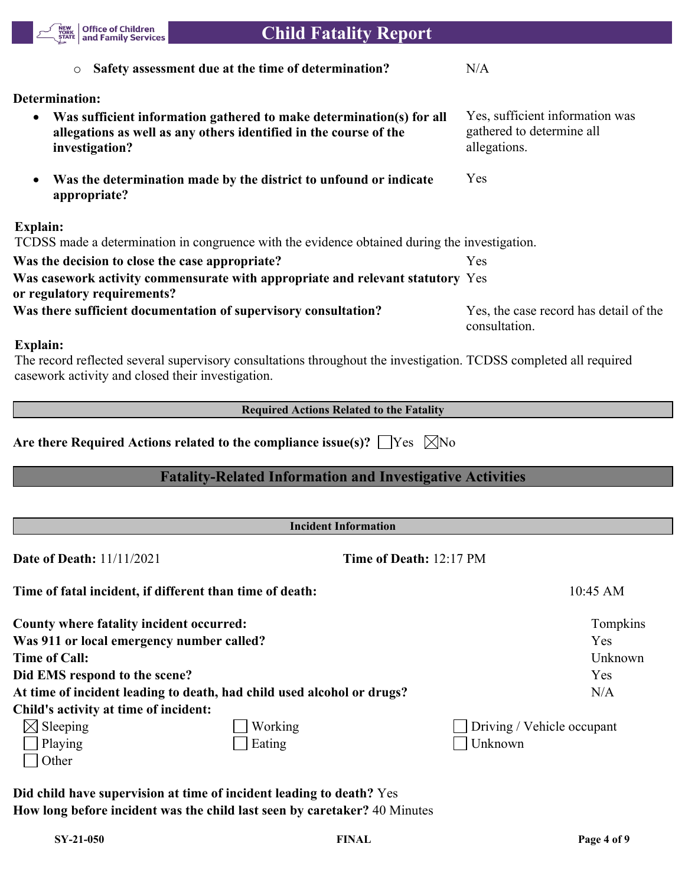

| <b>Incident Information</b>                              |                                                                        |                                   |                            |  |  |
|----------------------------------------------------------|------------------------------------------------------------------------|-----------------------------------|----------------------------|--|--|
| <b>Date of Death:</b> 11/11/2021                         |                                                                        | Time of Death: $12:17 \text{ PM}$ |                            |  |  |
| Time of fatal incident, if different than time of death: |                                                                        |                                   | $10:45$ AM                 |  |  |
| County where fatality incident occurred:                 |                                                                        |                                   | Tompkins                   |  |  |
| Was 911 or local emergency number called?                |                                                                        |                                   | Yes                        |  |  |
| <b>Time of Call:</b>                                     |                                                                        |                                   | Unknown                    |  |  |
| Did EMS respond to the scene?                            |                                                                        |                                   | Yes                        |  |  |
|                                                          | At time of incident leading to death, had child used alcohol or drugs? |                                   | N/A                        |  |  |
| Child's activity at time of incident:                    |                                                                        |                                   |                            |  |  |
| $\boxtimes$ Sleeping                                     | Working                                                                |                                   | Driving / Vehicle occupant |  |  |
| Playing                                                  | Eating                                                                 | Unknown                           |                            |  |  |
| Other                                                    |                                                                        |                                   |                            |  |  |

**Did child have supervision at time of incident leading to death?** Yes **How long before incident was the child last seen by caretaker?** 40 Minutes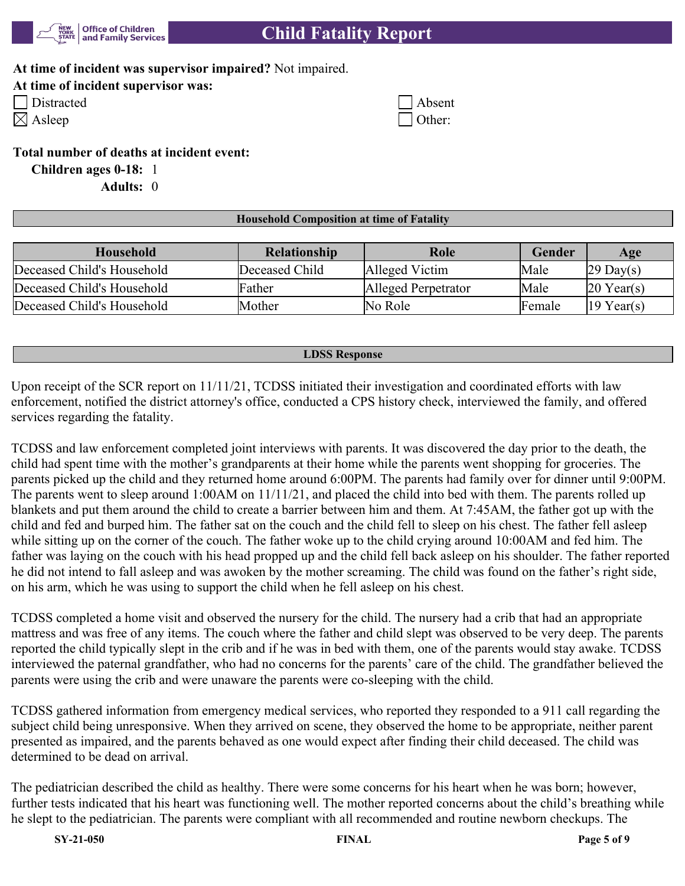

# **Child Fatality Report**

### **At time of incident was supervisor impaired?** Not impaired.

|  |  | At time of incident supervisor was: |  |
|--|--|-------------------------------------|--|
|  |  |                                     |  |

| Distracte |
|-----------|
|           |

| Distracted | Absent        |
|------------|---------------|
| Asleep     | $\Box$ Other: |

### **Total number of deaths at incident event:**

**Children ages 0-18:** 1 **Adults:** 0

### **Household Composition at time of Fatality**

| Household                  | <b>Relationship</b> | Role                | Gender        | Age                    |
|----------------------------|---------------------|---------------------|---------------|------------------------|
| Deceased Child's Household | Deceased Child      | Alleged Victim      | Male          | $29 \text{ Day}(s)$    |
| Deceased Child's Household | Father              | Alleged Perpetrator | Male          | $20$ Year(s)           |
| Deceased Child's Household | Mother              | No Role             | <b>Female</b> | $ 19 \text{ Year}(s) $ |

#### **LDSS Response**

Upon receipt of the SCR report on 11/11/21, TCDSS initiated their investigation and coordinated efforts with law enforcement, notified the district attorney's office, conducted a CPS history check, interviewed the family, and offered services regarding the fatality.

TCDSS and law enforcement completed joint interviews with parents. It was discovered the day prior to the death, the child had spent time with the mother's grandparents at their home while the parents went shopping for groceries. The parents picked up the child and they returned home around 6:00PM. The parents had family over for dinner until 9:00PM. The parents went to sleep around 1:00AM on 11/11/21, and placed the child into bed with them. The parents rolled up blankets and put them around the child to create a barrier between him and them. At 7:45AM, the father got up with the child and fed and burped him. The father sat on the couch and the child fell to sleep on his chest. The father fell asleep while sitting up on the corner of the couch. The father woke up to the child crying around 10:00AM and fed him. The father was laying on the couch with his head propped up and the child fell back asleep on his shoulder. The father reported he did not intend to fall asleep and was awoken by the mother screaming. The child was found on the father's right side, on his arm, which he was using to support the child when he fell asleep on his chest.

TCDSS completed a home visit and observed the nursery for the child. The nursery had a crib that had an appropriate mattress and was free of any items. The couch where the father and child slept was observed to be very deep. The parents reported the child typically slept in the crib and if he was in bed with them, one of the parents would stay awake. TCDSS interviewed the paternal grandfather, who had no concerns for the parents' care of the child. The grandfather believed the parents were using the crib and were unaware the parents were co-sleeping with the child.

TCDSS gathered information from emergency medical services, who reported they responded to a 911 call regarding the subject child being unresponsive. When they arrived on scene, they observed the home to be appropriate, neither parent presented as impaired, and the parents behaved as one would expect after finding their child deceased. The child was determined to be dead on arrival.

The pediatrician described the child as healthy. There were some concerns for his heart when he was born; however, further tests indicated that his heart was functioning well. The mother reported concerns about the child's breathing while he slept to the pediatrician. The parents were compliant with all recommended and routine newborn checkups. The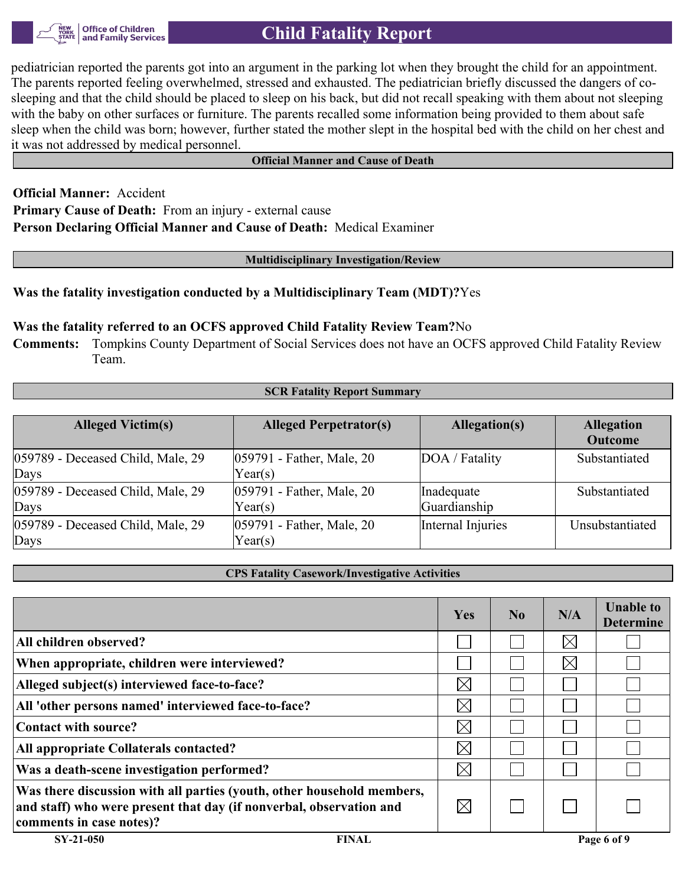

# **Child Fatality Report**

pediatrician reported the parents got into an argument in the parking lot when they brought the child for an appointment. The parents reported feeling overwhelmed, stressed and exhausted. The pediatrician briefly discussed the dangers of cosleeping and that the child should be placed to sleep on his back, but did not recall speaking with them about not sleeping with the baby on other surfaces or furniture. The parents recalled some information being provided to them about safe sleep when the child was born; however, further stated the mother slept in the hospital bed with the child on her chest and it was not addressed by medical personnel.

#### **Official Manner and Cause of Death**

**Official Manner:** Accident **Primary Cause of Death:** From an injury - external cause **Person Declaring Official Manner and Cause of Death:** Medical Examiner

**Multidisciplinary Investigation/Review**

#### **Was the fatality investigation conducted by a Multidisciplinary Team (MDT)?**Yes

#### **Was the fatality referred to an OCFS approved Child Fatality Review Team?**No

**Comments:** Tompkins County Department of Social Services does not have an OCFS approved Child Fatality Review Team.

| <b>SCR Fatality Report Summary</b> |                               |                   |                   |  |  |  |
|------------------------------------|-------------------------------|-------------------|-------------------|--|--|--|
|                                    |                               |                   |                   |  |  |  |
| <b>Alleged Victim(s)</b>           | <b>Alleged Perpetrator(s)</b> | Allegation(s)     | <b>Allegation</b> |  |  |  |
|                                    |                               |                   | <b>Outcome</b>    |  |  |  |
| 059789 - Deceased Child, Male, 29  | 059791 - Father, Male, 20     | DOA / Fatality    | Substantiated     |  |  |  |
| Days                               | Year(s)                       |                   |                   |  |  |  |
| 059789 - Deceased Child, Male, 29  | 059791 - Father, Male, 20     | Inadequate        | Substantiated     |  |  |  |
| Days                               | Year(s)                       | Guardianship      |                   |  |  |  |
| 059789 - Deceased Child, Male, 29  | 059791 - Father, Male, 20     | Internal Injuries | Unsubstantiated   |  |  |  |
| Days                               | Year(s)                       |                   |                   |  |  |  |

#### **CPS Fatality Casework/Investigative Activities**

|                                                                                                                                                                           | Yes         | N <sub>0</sub> | N/A         | <b>Unable to</b><br><b>Determine</b> |
|---------------------------------------------------------------------------------------------------------------------------------------------------------------------------|-------------|----------------|-------------|--------------------------------------|
| All children observed?                                                                                                                                                    |             |                | $\times$    |                                      |
| When appropriate, children were interviewed?                                                                                                                              |             |                | $\boxtimes$ |                                      |
| Alleged subject(s) interviewed face-to-face?                                                                                                                              | $\boxtimes$ |                |             |                                      |
| All 'other persons named' interviewed face-to-face?                                                                                                                       | $\boxtimes$ |                |             |                                      |
| Contact with source?                                                                                                                                                      | $\boxtimes$ |                |             |                                      |
| All appropriate Collaterals contacted?                                                                                                                                    | $\boxtimes$ |                |             |                                      |
| Was a death-scene investigation performed?                                                                                                                                | $\boxtimes$ |                |             |                                      |
| Was there discussion with all parties (youth, other household members,<br>and staff) who were present that day (if nonverbal, observation and<br>comments in case notes)? | $\boxtimes$ |                |             |                                      |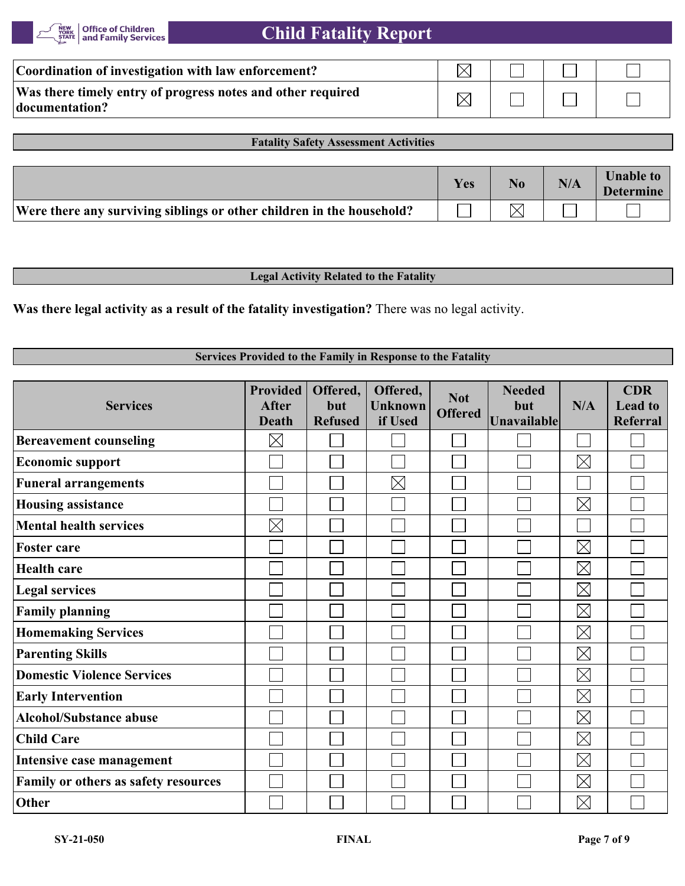| Coordination of investigation with law enforcement?                           |  |  |
|-------------------------------------------------------------------------------|--|--|
| Was there timely entry of progress notes and other required<br>documentation? |  |  |

#### **Fatality Safety Assessment Activities**

|                                                                       | <b>Yes</b> | N/A | <b>Unable to</b><br><b>Determine</b> |
|-----------------------------------------------------------------------|------------|-----|--------------------------------------|
| Were there any surviving siblings or other children in the household? |            |     |                                      |

#### **Legal Activity Related to the Fatality**

**Was there legal activity as a result of the fatality investigation?** There was no legal activity.

### **Services Provided to the Family in Response to the Fatality**

| <b>Services</b>                      | <b>Provided</b><br><b>After</b><br><b>Death</b> | Offered,<br>but<br><b>Refused</b> | Offered,<br><b>Unknown</b><br>if Used | <b>Not</b><br><b>Offered</b> | <b>Needed</b><br>but<br><b>Unavailable</b> | N/A         | <b>CDR</b><br><b>Lead to</b><br>Referral |
|--------------------------------------|-------------------------------------------------|-----------------------------------|---------------------------------------|------------------------------|--------------------------------------------|-------------|------------------------------------------|
| <b>Bereavement counseling</b>        | $\boxtimes$                                     |                                   |                                       |                              |                                            |             |                                          |
| <b>Economic support</b>              |                                                 |                                   |                                       |                              |                                            | $\boxtimes$ |                                          |
| <b>Funeral arrangements</b>          |                                                 |                                   | $\times$                              |                              |                                            |             |                                          |
| <b>Housing assistance</b>            |                                                 |                                   |                                       |                              |                                            | $\boxtimes$ |                                          |
| <b>Mental health services</b>        | $\boxtimes$                                     |                                   |                                       |                              |                                            |             |                                          |
| <b>Foster care</b>                   |                                                 |                                   |                                       |                              |                                            | $\boxtimes$ |                                          |
| <b>Health care</b>                   |                                                 |                                   |                                       |                              |                                            | $\boxtimes$ |                                          |
| <b>Legal services</b>                |                                                 |                                   |                                       |                              |                                            | $\boxtimes$ |                                          |
| <b>Family planning</b>               |                                                 |                                   |                                       |                              |                                            | $\boxtimes$ |                                          |
| <b>Homemaking Services</b>           |                                                 |                                   |                                       |                              |                                            | $\boxtimes$ |                                          |
| <b>Parenting Skills</b>              |                                                 |                                   |                                       |                              |                                            | $\boxtimes$ |                                          |
| <b>Domestic Violence Services</b>    |                                                 |                                   |                                       |                              |                                            | $\boxtimes$ |                                          |
| <b>Early Intervention</b>            |                                                 |                                   |                                       |                              |                                            | $\boxtimes$ |                                          |
| <b>Alcohol/Substance abuse</b>       |                                                 |                                   |                                       |                              |                                            | $\boxtimes$ |                                          |
| <b>Child Care</b>                    |                                                 |                                   |                                       |                              |                                            | $\boxtimes$ |                                          |
| Intensive case management            |                                                 |                                   |                                       |                              |                                            | $\boxtimes$ |                                          |
| Family or others as safety resources |                                                 |                                   |                                       |                              |                                            | $\boxtimes$ |                                          |
| Other                                |                                                 |                                   |                                       |                              |                                            | $\boxtimes$ |                                          |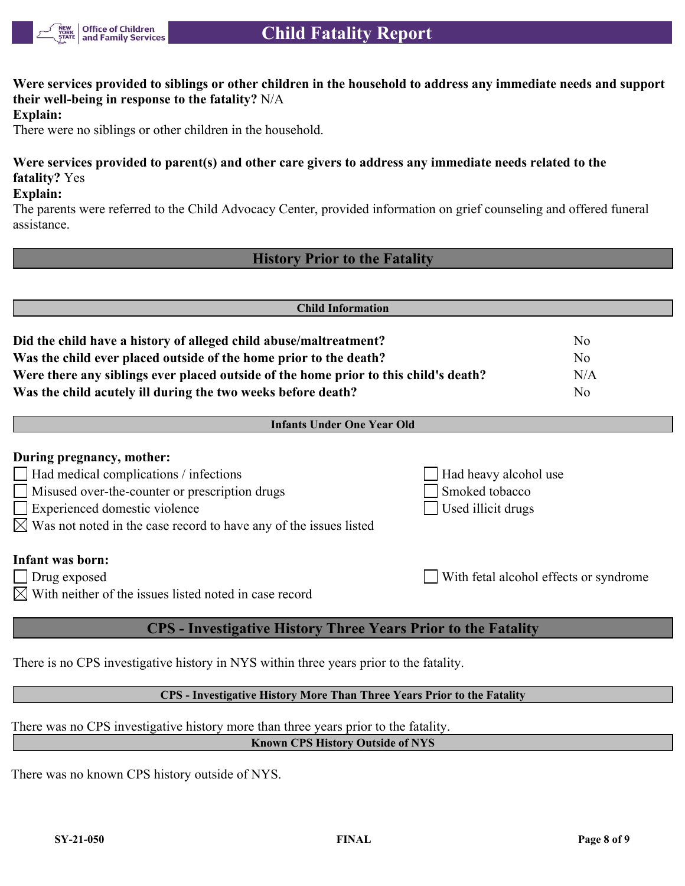

**Were services provided to siblings or other children in the household to address any immediate needs and support their well-being in response to the fatality?** N/A

**Explain:**

There were no siblings or other children in the household.

## **Were services provided to parent(s) and other care givers to address any immediate needs related to the fatality?** Yes

**Explain:**

The parents were referred to the Child Advocacy Center, provided information on grief counseling and offered funeral assistance.

## **History Prior to the Fatality**

| <b>Child Information</b>                                                                                                                                                                                                                                                                                                                        |                                                               |                                        |  |  |  |
|-------------------------------------------------------------------------------------------------------------------------------------------------------------------------------------------------------------------------------------------------------------------------------------------------------------------------------------------------|---------------------------------------------------------------|----------------------------------------|--|--|--|
| Did the child have a history of alleged child abuse/maltreatment?<br>No<br>Was the child ever placed outside of the home prior to the death?<br>N <sub>0</sub><br>Were there any siblings ever placed outside of the home prior to this child's death?<br>N/A<br>Was the child acutely ill during the two weeks before death?<br>N <sub>o</sub> |                                                               |                                        |  |  |  |
| <b>Infants Under One Year Old</b>                                                                                                                                                                                                                                                                                                               |                                                               |                                        |  |  |  |
| During pregnancy, mother:<br>Had medical complications / infections<br>Misused over-the-counter or prescription drugs<br>Experienced domestic violence<br>$\boxtimes$ Was not noted in the case record to have any of the issues listed                                                                                                         | Had heavy alcohol use<br>Smoked tobacco<br>Used illicit drugs |                                        |  |  |  |
| Infant was born:<br>$\Box$ Drug exposed<br>$\boxtimes$ With neither of the issues listed noted in case record                                                                                                                                                                                                                                   |                                                               | With fetal alcohol effects or syndrome |  |  |  |
| <b>CPS</b> - Investigative History Three Years Prior to the Fatality                                                                                                                                                                                                                                                                            |                                                               |                                        |  |  |  |

There is no CPS investigative history in NYS within three years prior to the fatality.

**CPS - Investigative History More Than Three Years Prior to the Fatality**

There was no CPS investigative history more than three years prior to the fatality.

**Known CPS History Outside of NYS**

There was no known CPS history outside of NYS.